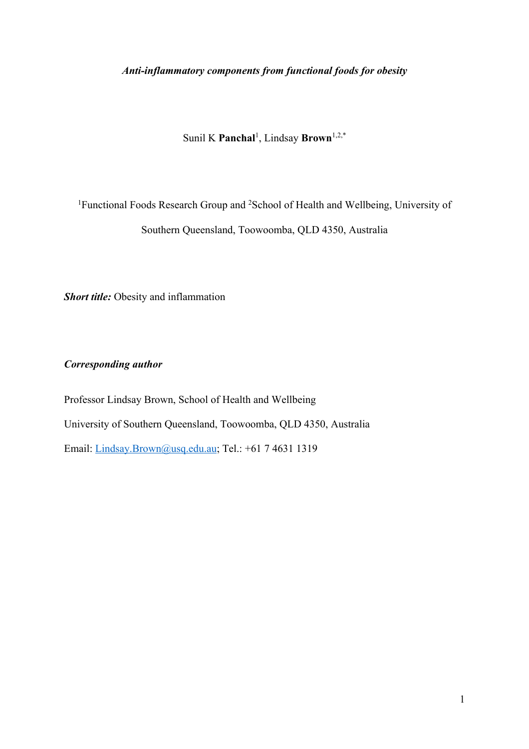# *Anti-inflammatory components from functional foods for obesity*

Sunil K **Panchal**<sup>1</sup> , Lindsay **Brown**1,2,\*

<sup>1</sup>Functional Foods Research Group and <sup>2</sup>School of Health and Wellbeing, University of Southern Queensland, Toowoomba, QLD 4350, Australia

*Short title:* Obesity and inflammation

*Corresponding author*

Professor Lindsay Brown, School of Health and Wellbeing University of Southern Queensland, Toowoomba, QLD 4350, Australia Email: Lindsay.Brown@usq.edu.au; Tel.: +61 7 4631 1319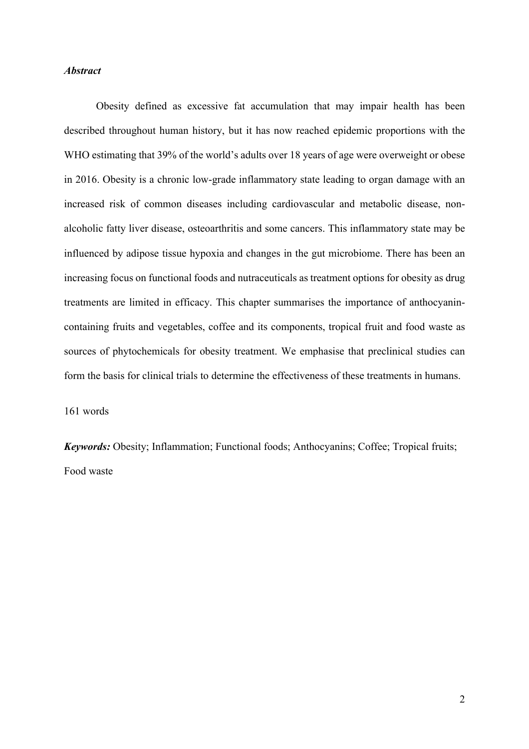## *Abstract*

Obesity defined as excessive fat accumulation that may impair health has been described throughout human history, but it has now reached epidemic proportions with the WHO estimating that 39% of the world's adults over 18 years of age were overweight or obese in 2016. Obesity is a chronic low-grade inflammatory state leading to organ damage with an increased risk of common diseases including cardiovascular and metabolic disease, nonalcoholic fatty liver disease, osteoarthritis and some cancers. This inflammatory state may be influenced by adipose tissue hypoxia and changes in the gut microbiome. There has been an increasing focus on functional foods and nutraceuticals as treatment options for obesity as drug treatments are limited in efficacy. This chapter summarises the importance of anthocyanincontaining fruits and vegetables, coffee and its components, tropical fruit and food waste as sources of phytochemicals for obesity treatment. We emphasise that preclinical studies can form the basis for clinical trials to determine the effectiveness of these treatments in humans.

161 words

*Keywords:* Obesity; Inflammation; Functional foods; Anthocyanins; Coffee; Tropical fruits; Food waste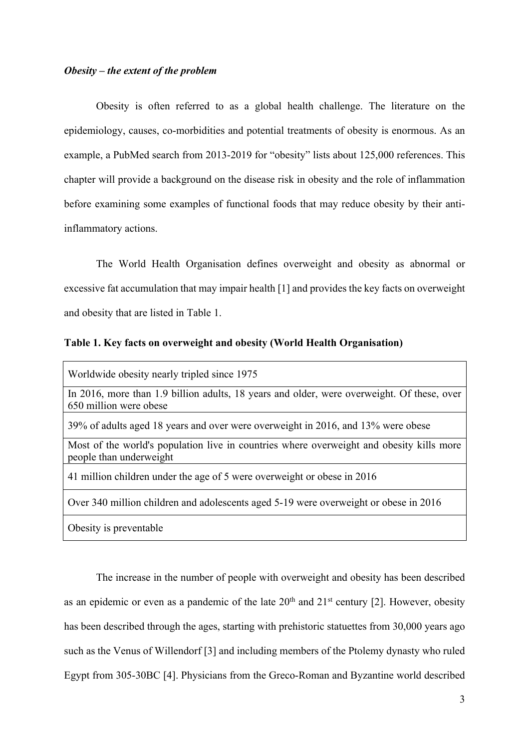## *Obesity – the extent of the problem*

Obesity is often referred to as a global health challenge. The literature on the epidemiology, causes, co-morbidities and potential treatments of obesity is enormous. As an example, a PubMed search from 2013-2019 for "obesity" lists about 125,000 references. This chapter will provide a background on the disease risk in obesity and the role of inflammation before examining some examples of functional foods that may reduce obesity by their antiinflammatory actions.

The World Health Organisation defines overweight and obesity as abnormal or excessive fat accumulation that may impair health [1] and provides the key facts on overweight and obesity that are listed in Table 1.

# **Table 1. Key facts on overweight and obesity (World Health Organisation)**

Worldwide obesity nearly tripled since 1975

In 2016, more than 1.9 billion adults, 18 years and older, were overweight. Of these, over 650 million were obese

39% of adults aged 18 years and over were overweight in 2016, and 13% were obese

Most of the world's population live in countries where overweight and obesity kills more people than underweight

41 million children under the age of 5 were overweight or obese in 2016

Over 340 million children and adolescents aged 5-19 were overweight or obese in 2016

Obesity is preventable

The increase in the number of people with overweight and obesity has been described as an epidemic or even as a pandemic of the late  $20<sup>th</sup>$  and  $21<sup>st</sup>$  century [2]. However, obesity has been described through the ages, starting with prehistoric statuettes from 30,000 years ago such as the Venus of Willendorf [3] and including members of the Ptolemy dynasty who ruled Egypt from 305-30BC [4]. Physicians from the Greco-Roman and Byzantine world described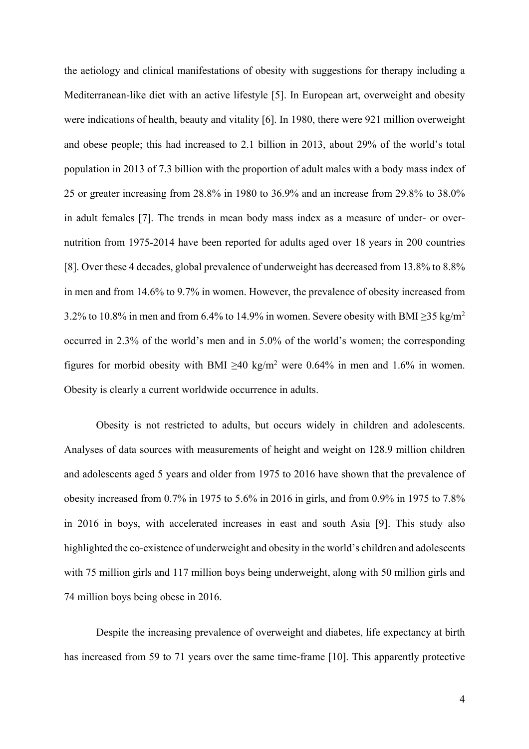the aetiology and clinical manifestations of obesity with suggestions for therapy including a Mediterranean-like diet with an active lifestyle [5]. In European art, overweight and obesity were indications of health, beauty and vitality [6]. In 1980, there were 921 million overweight and obese people; this had increased to 2.1 billion in 2013, about 29% of the world's total population in 2013 of 7.3 billion with the proportion of adult males with a body mass index of 25 or greater increasing from 28.8% in 1980 to 36.9% and an increase from 29.8% to 38.0% in adult females [7]. The trends in mean body mass index as a measure of under- or overnutrition from 1975-2014 have been reported for adults aged over 18 years in 200 countries [8]. Over these 4 decades, global prevalence of underweight has decreased from 13.8% to 8.8% in men and from 14.6% to 9.7% in women. However, the prevalence of obesity increased from 3.2% to 10.8% in men and from 6.4% to 14.9% in women. Severe obesity with BMI  $\geq$ 35 kg/m<sup>2</sup> occurred in 2.3% of the world's men and in 5.0% of the world's women; the corresponding figures for morbid obesity with BMI  $\geq 40$  kg/m<sup>2</sup> were 0.64% in men and 1.6% in women. Obesity is clearly a current worldwide occurrence in adults.

Obesity is not restricted to adults, but occurs widely in children and adolescents. Analyses of data sources with measurements of height and weight on 128.9 million children and adolescents aged 5 years and older from 1975 to 2016 have shown that the prevalence of obesity increased from 0.7% in 1975 to 5.6% in 2016 in girls, and from 0.9% in 1975 to 7.8% in 2016 in boys, with accelerated increases in east and south Asia [9]. This study also highlighted the co-existence of underweight and obesity in the world's children and adolescents with 75 million girls and 117 million boys being underweight, along with 50 million girls and 74 million boys being obese in 2016.

Despite the increasing prevalence of overweight and diabetes, life expectancy at birth has increased from 59 to 71 years over the same time-frame [10]. This apparently protective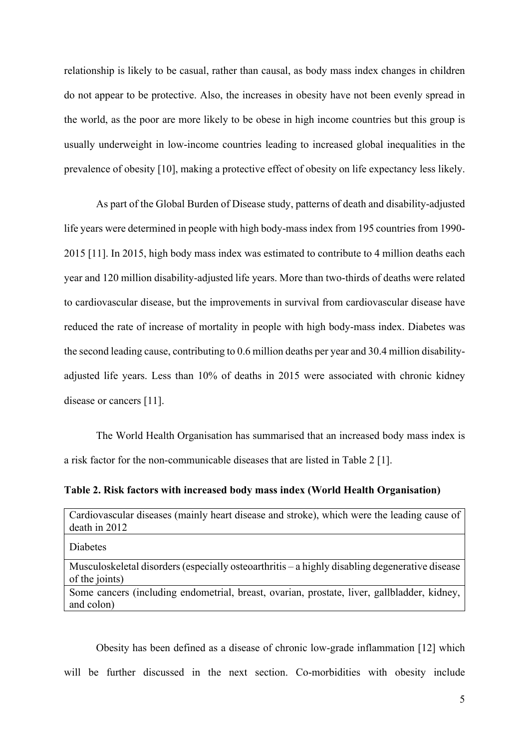relationship is likely to be casual, rather than causal, as body mass index changes in children do not appear to be protective. Also, the increases in obesity have not been evenly spread in the world, as the poor are more likely to be obese in high income countries but this group is usually underweight in low-income countries leading to increased global inequalities in the prevalence of obesity [10], making a protective effect of obesity on life expectancy less likely.

As part of the Global Burden of Disease study, patterns of death and disability-adjusted life years were determined in people with high body-mass index from 195 countries from 1990- 2015 [11]. In 2015, high body mass index was estimated to contribute to 4 million deaths each year and 120 million disability-adjusted life years. More than two-thirds of deaths were related to cardiovascular disease, but the improvements in survival from cardiovascular disease have reduced the rate of increase of mortality in people with high body-mass index. Diabetes was the second leading cause, contributing to 0.6 million deaths per year and 30.4 million disabilityadjusted life years. Less than 10% of deaths in 2015 were associated with chronic kidney disease or cancers [11].

The World Health Organisation has summarised that an increased body mass index is a risk factor for the non-communicable diseases that are listed in Table 2 [1].

**Table 2. Risk factors with increased body mass index (World Health Organisation)**

| Cardiovascular diseases (mainly heart disease and stroke), which were the leading cause of |  |
|--------------------------------------------------------------------------------------------|--|
| $death$ in 2012                                                                            |  |

Diabetes

Musculoskeletal disorders (especially osteoarthritis – a highly disabling degenerative disease of the joints)

Some cancers (including endometrial, breast, ovarian, prostate, liver, gallbladder, kidney, and colon)

Obesity has been defined as a disease of chronic low-grade inflammation [12] which will be further discussed in the next section. Co-morbidities with obesity include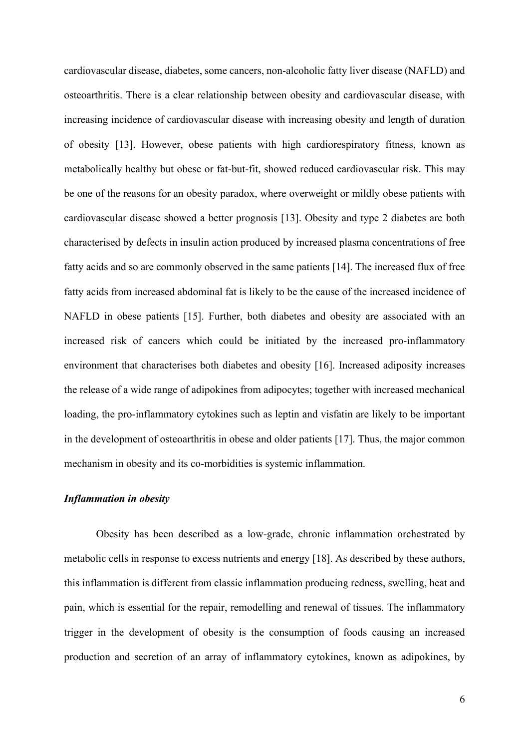cardiovascular disease, diabetes, some cancers, non-alcoholic fatty liver disease (NAFLD) and osteoarthritis. There is a clear relationship between obesity and cardiovascular disease, with increasing incidence of cardiovascular disease with increasing obesity and length of duration of obesity [13]. However, obese patients with high cardiorespiratory fitness, known as metabolically healthy but obese or fat-but-fit, showed reduced cardiovascular risk. This may be one of the reasons for an obesity paradox, where overweight or mildly obese patients with cardiovascular disease showed a better prognosis [13]. Obesity and type 2 diabetes are both characterised by defects in insulin action produced by increased plasma concentrations of free fatty acids and so are commonly observed in the same patients [14]. The increased flux of free fatty acids from increased abdominal fat is likely to be the cause of the increased incidence of NAFLD in obese patients [15]. Further, both diabetes and obesity are associated with an increased risk of cancers which could be initiated by the increased pro-inflammatory environment that characterises both diabetes and obesity [16]. Increased adiposity increases the release of a wide range of adipokines from adipocytes; together with increased mechanical loading, the pro-inflammatory cytokines such as leptin and visfatin are likely to be important in the development of osteoarthritis in obese and older patients [17]. Thus, the major common mechanism in obesity and its co-morbidities is systemic inflammation.

#### *Inflammation in obesity*

Obesity has been described as a low-grade, chronic inflammation orchestrated by metabolic cells in response to excess nutrients and energy [18]. As described by these authors, this inflammation is different from classic inflammation producing redness, swelling, heat and pain, which is essential for the repair, remodelling and renewal of tissues. The inflammatory trigger in the development of obesity is the consumption of foods causing an increased production and secretion of an array of inflammatory cytokines, known as adipokines, by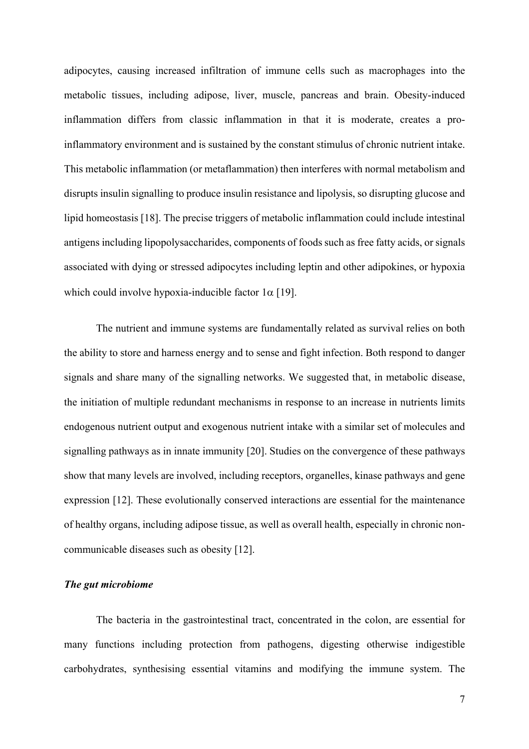adipocytes, causing increased infiltration of immune cells such as macrophages into the metabolic tissues, including adipose, liver, muscle, pancreas and brain. Obesity-induced inflammation differs from classic inflammation in that it is moderate, creates a proinflammatory environment and is sustained by the constant stimulus of chronic nutrient intake. This metabolic inflammation (or metaflammation) then interferes with normal metabolism and disrupts insulin signalling to produce insulin resistance and lipolysis, so disrupting glucose and lipid homeostasis [18]. The precise triggers of metabolic inflammation could include intestinal antigens including lipopolysaccharides, components of foods such as free fatty acids, or signals associated with dying or stressed adipocytes including leptin and other adipokines, or hypoxia which could involve hypoxia-inducible factor  $1\alpha$  [19].

The nutrient and immune systems are fundamentally related as survival relies on both the ability to store and harness energy and to sense and fight infection. Both respond to danger signals and share many of the signalling networks. We suggested that, in metabolic disease, the initiation of multiple redundant mechanisms in response to an increase in nutrients limits endogenous nutrient output and exogenous nutrient intake with a similar set of molecules and signalling pathways as in innate immunity [20]. Studies on the convergence of these pathways show that many levels are involved, including receptors, organelles, kinase pathways and gene expression [12]. These evolutionally conserved interactions are essential for the maintenance of healthy organs, including adipose tissue, as well as overall health, especially in chronic noncommunicable diseases such as obesity [12].

## *The gut microbiome*

The bacteria in the gastrointestinal tract, concentrated in the colon, are essential for many functions including protection from pathogens, digesting otherwise indigestible carbohydrates, synthesising essential vitamins and modifying the immune system. The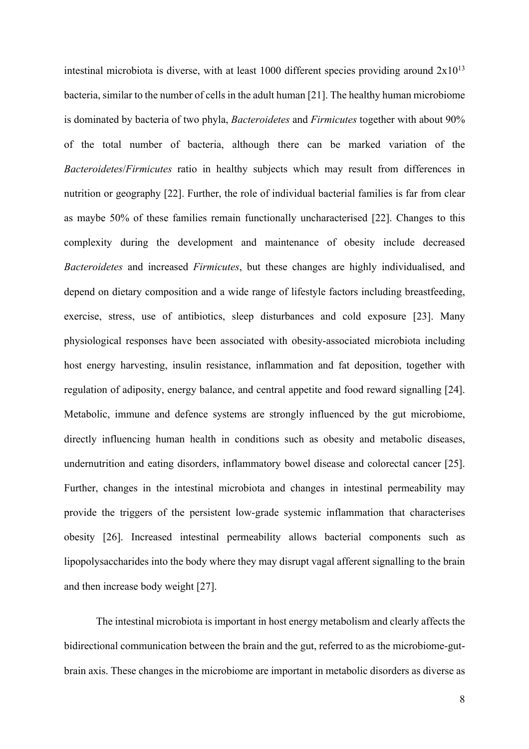intestinal microbiota is diverse, with at least 1000 different species providing around  $2x10^{13}$ bacteria, similar to the number of cells in the adult human [21]. The healthy human microbiome is dominated by bacteria of two phyla, *Bacteroidetes* and *Firmicutes* together with about 90% of the total number of bacteria, although there can be marked variation of the *Bacteroidetes*/*Firmicutes* ratio in healthy subjects which may result from differences in nutrition or geography [22]. Further, the role of individual bacterial families is far from clear as maybe 50% of these families remain functionally uncharacterised [22]. Changes to this complexity during the development and maintenance of obesity include decreased *Bacteroidetes* and increased *Firmicutes*, but these changes are highly individualised, and depend on dietary composition and a wide range of lifestyle factors including breastfeeding, exercise, stress, use of antibiotics, sleep disturbances and cold exposure [23]. Many physiological responses have been associated with obesity-associated microbiota including host energy harvesting, insulin resistance, inflammation and fat deposition, together with regulation of adiposity, energy balance, and central appetite and food reward signalling [24]. Metabolic, immune and defence systems are strongly influenced by the gut microbiome, directly influencing human health in conditions such as obesity and metabolic diseases, undernutrition and eating disorders, inflammatory bowel disease and colorectal cancer [25]. Further, changes in the intestinal microbiota and changes in intestinal permeability may provide the triggers of the persistent low-grade systemic inflammation that characterises obesity [26]. Increased intestinal permeability allows bacterial components such as lipopolysaccharides into the body where they may disrupt vagal afferent signalling to the brain and then increase body weight [27].

The intestinal microbiota is important in host energy metabolism and clearly affects the bidirectional communication between the brain and the gut, referred to as the microbiome-gutbrain axis. These changes in the microbiome are important in metabolic disorders as diverse as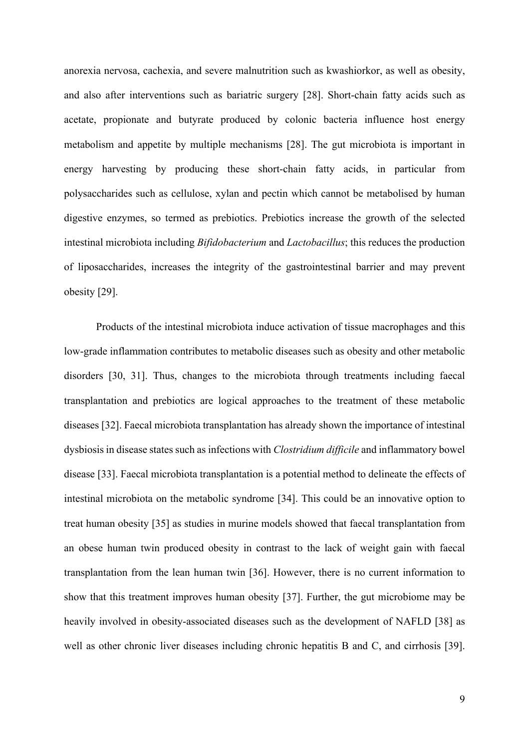anorexia nervosa, cachexia, and severe malnutrition such as kwashiorkor, as well as obesity, and also after interventions such as bariatric surgery [28]. Short-chain fatty acids such as acetate, propionate and butyrate produced by colonic bacteria influence host energy metabolism and appetite by multiple mechanisms [28]. The gut microbiota is important in energy harvesting by producing these short-chain fatty acids, in particular from polysaccharides such as cellulose, xylan and pectin which cannot be metabolised by human digestive enzymes, so termed as prebiotics. Prebiotics increase the growth of the selected intestinal microbiota including *Bifidobacterium* and *Lactobacillus*; this reduces the production of liposaccharides, increases the integrity of the gastrointestinal barrier and may prevent obesity [29].

Products of the intestinal microbiota induce activation of tissue macrophages and this low-grade inflammation contributes to metabolic diseases such as obesity and other metabolic disorders [30, 31]. Thus, changes to the microbiota through treatments including faecal transplantation and prebiotics are logical approaches to the treatment of these metabolic diseases [32]. Faecal microbiota transplantation has already shown the importance of intestinal dysbiosis in disease states such as infections with *Clostridium difficile* and inflammatory bowel disease [33]. Faecal microbiota transplantation is a potential method to delineate the effects of intestinal microbiota on the metabolic syndrome [34]. This could be an innovative option to treat human obesity [35] as studies in murine models showed that faecal transplantation from an obese human twin produced obesity in contrast to the lack of weight gain with faecal transplantation from the lean human twin [36]. However, there is no current information to show that this treatment improves human obesity [37]. Further, the gut microbiome may be heavily involved in obesity-associated diseases such as the development of NAFLD [38] as well as other chronic liver diseases including chronic hepatitis B and C, and cirrhosis [39].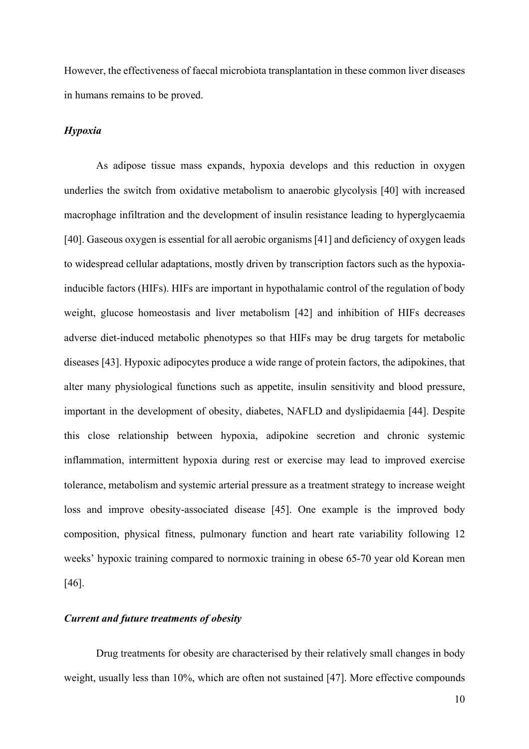However, the effectiveness of faecal microbiota transplantation in these common liver diseases in humans remains to be proved.

# *Hypoxia*

As adipose tissue mass expands, hypoxia develops and this reduction in oxygen underlies the switch from oxidative metabolism to anaerobic glycolysis [40] with increased macrophage infiltration and the development of insulin resistance leading to hyperglycaemia [40]. Gaseous oxygen is essential for all aerobic organisms [41] and deficiency of oxygen leads to widespread cellular adaptations, mostly driven by transcription factors such as the hypoxiainducible factors (HIFs). HIFs are important in hypothalamic control of the regulation of body weight, glucose homeostasis and liver metabolism [42] and inhibition of HIFs decreases adverse diet-induced metabolic phenotypes so that HIFs may be drug targets for metabolic diseases [43]. Hypoxic adipocytes produce a wide range of protein factors, the adipokines, that alter many physiological functions such as appetite, insulin sensitivity and blood pressure, important in the development of obesity, diabetes, NAFLD and dyslipidaemia [44]. Despite this close relationship between hypoxia, adipokine secretion and chronic systemic inflammation, intermittent hypoxia during rest or exercise may lead to improved exercise tolerance, metabolism and systemic arterial pressure as a treatment strategy to increase weight loss and improve obesity-associated disease [45]. One example is the improved body composition, physical fitness, pulmonary function and heart rate variability following 12 weeks' hypoxic training compared to normoxic training in obese 65-70 year old Korean men [46].

# *Current and future treatments of obesity*

Drug treatments for obesity are characterised by their relatively small changes in body weight, usually less than 10%, which are often not sustained [47]. More effective compounds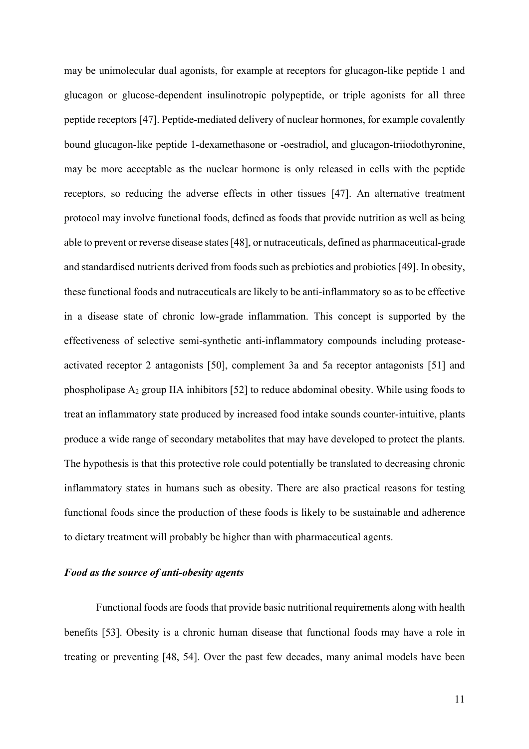may be unimolecular dual agonists, for example at receptors for glucagon-like peptide 1 and glucagon or glucose-dependent insulinotropic polypeptide, or triple agonists for all three peptide receptors [47]. Peptide-mediated delivery of nuclear hormones, for example covalently bound glucagon-like peptide 1-dexamethasone or -oestradiol, and glucagon-triiodothyronine, may be more acceptable as the nuclear hormone is only released in cells with the peptide receptors, so reducing the adverse effects in other tissues [47]. An alternative treatment protocol may involve functional foods, defined as foods that provide nutrition as well as being able to prevent or reverse disease states [48], or nutraceuticals, defined as pharmaceutical-grade and standardised nutrients derived from foods such as prebiotics and probiotics [49]. In obesity, these functional foods and nutraceuticals are likely to be anti-inflammatory so as to be effective in a disease state of chronic low-grade inflammation. This concept is supported by the effectiveness of selective semi-synthetic anti-inflammatory compounds including proteaseactivated receptor 2 antagonists [50], complement 3a and 5a receptor antagonists [51] and phospholipase A2 group IIA inhibitors [52] to reduce abdominal obesity. While using foods to treat an inflammatory state produced by increased food intake sounds counter-intuitive, plants produce a wide range of secondary metabolites that may have developed to protect the plants. The hypothesis is that this protective role could potentially be translated to decreasing chronic inflammatory states in humans such as obesity. There are also practical reasons for testing functional foods since the production of these foods is likely to be sustainable and adherence to dietary treatment will probably be higher than with pharmaceutical agents.

#### *Food as the source of anti-obesity agents*

Functional foods are foods that provide basic nutritional requirements along with health benefits [53]. Obesity is a chronic human disease that functional foods may have a role in treating or preventing [48, 54]. Over the past few decades, many animal models have been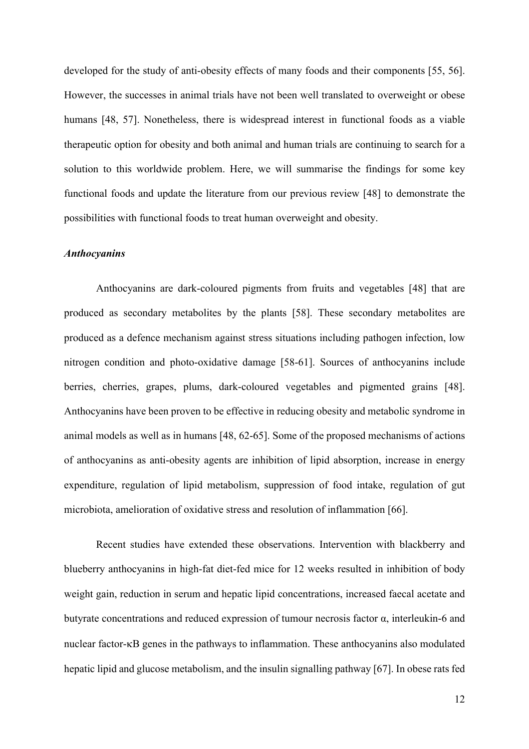developed for the study of anti-obesity effects of many foods and their components [55, 56]. However, the successes in animal trials have not been well translated to overweight or obese humans [48, 57]. Nonetheless, there is widespread interest in functional foods as a viable therapeutic option for obesity and both animal and human trials are continuing to search for a solution to this worldwide problem. Here, we will summarise the findings for some key functional foods and update the literature from our previous review [48] to demonstrate the possibilities with functional foods to treat human overweight and obesity.

#### *Anthocyanins*

Anthocyanins are dark-coloured pigments from fruits and vegetables [48] that are produced as secondary metabolites by the plants [58]. These secondary metabolites are produced as a defence mechanism against stress situations including pathogen infection, low nitrogen condition and photo-oxidative damage [58-61]. Sources of anthocyanins include berries, cherries, grapes, plums, dark-coloured vegetables and pigmented grains [48]. Anthocyanins have been proven to be effective in reducing obesity and metabolic syndrome in animal models as well as in humans [48, 62-65]. Some of the proposed mechanisms of actions of anthocyanins as anti-obesity agents are inhibition of lipid absorption, increase in energy expenditure, regulation of lipid metabolism, suppression of food intake, regulation of gut microbiota, amelioration of oxidative stress and resolution of inflammation [66].

Recent studies have extended these observations. Intervention with blackberry and blueberry anthocyanins in high-fat diet-fed mice for 12 weeks resulted in inhibition of body weight gain, reduction in serum and hepatic lipid concentrations, increased faecal acetate and butyrate concentrations and reduced expression of tumour necrosis factor  $\alpha$ , interleukin-6 and nuclear factor-kB genes in the pathways to inflammation. These anthocyanins also modulated hepatic lipid and glucose metabolism, and the insulin signalling pathway [67]. In obese rats fed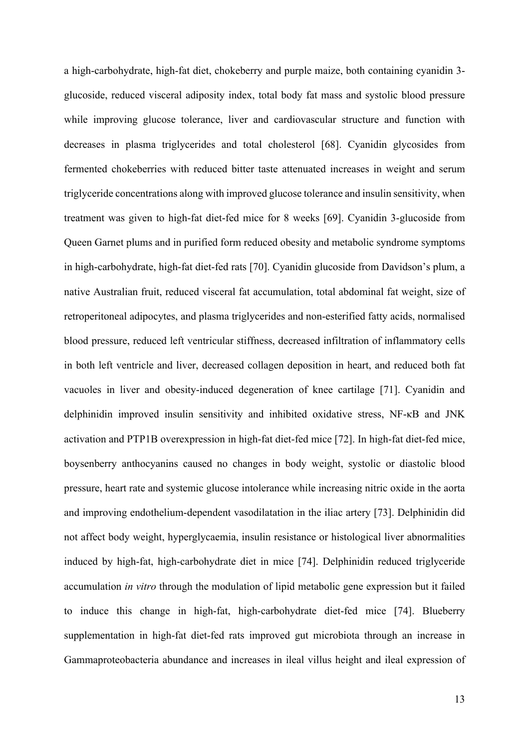a high-carbohydrate, high-fat diet, chokeberry and purple maize, both containing cyanidin 3 glucoside, reduced visceral adiposity index, total body fat mass and systolic blood pressure while improving glucose tolerance, liver and cardiovascular structure and function with decreases in plasma triglycerides and total cholesterol [68]. Cyanidin glycosides from fermented chokeberries with reduced bitter taste attenuated increases in weight and serum triglyceride concentrations along with improved glucose tolerance and insulin sensitivity, when treatment was given to high-fat diet-fed mice for 8 weeks [69]. Cyanidin 3-glucoside from Queen Garnet plums and in purified form reduced obesity and metabolic syndrome symptoms in high-carbohydrate, high-fat diet-fed rats [70]. Cyanidin glucoside from Davidson's plum, a native Australian fruit, reduced visceral fat accumulation, total abdominal fat weight, size of retroperitoneal adipocytes, and plasma triglycerides and non-esterified fatty acids, normalised blood pressure, reduced left ventricular stiffness, decreased infiltration of inflammatory cells in both left ventricle and liver, decreased collagen deposition in heart, and reduced both fat vacuoles in liver and obesity-induced degeneration of knee cartilage [71]. Cyanidin and delphinidin improved insulin sensitivity and inhibited oxidative stress, NF-κB and JNK activation and PTP1B overexpression in high-fat diet-fed mice [72]. In high-fat diet-fed mice, boysenberry anthocyanins caused no changes in body weight, systolic or diastolic blood pressure, heart rate and systemic glucose intolerance while increasing nitric oxide in the aorta and improving endothelium-dependent vasodilatation in the iliac artery [73]. Delphinidin did not affect body weight, hyperglycaemia, insulin resistance or histological liver abnormalities induced by high-fat, high-carbohydrate diet in mice [74]. Delphinidin reduced triglyceride accumulation *in vitro* through the modulation of lipid metabolic gene expression but it failed to induce this change in high-fat, high-carbohydrate diet-fed mice [74]. Blueberry supplementation in high-fat diet-fed rats improved gut microbiota through an increase in Gammaproteobacteria abundance and increases in ileal villus height and ileal expression of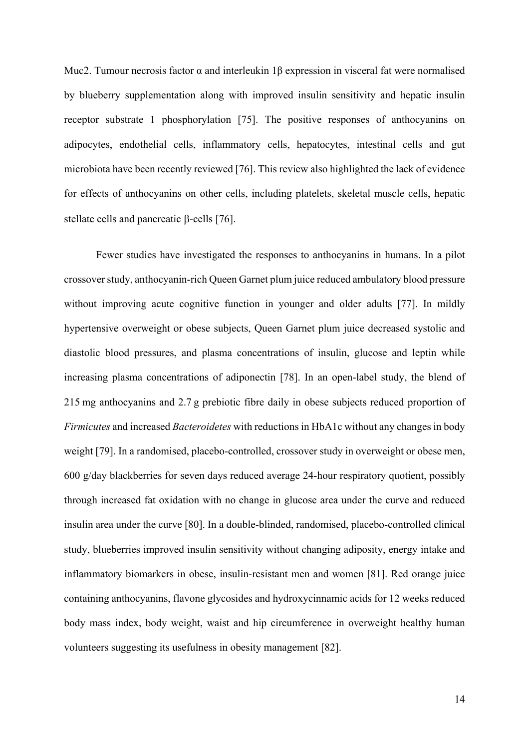Muc2. Tumour necrosis factor α and interleukin 1β expression in visceral fat were normalised by blueberry supplementation along with improved insulin sensitivity and hepatic insulin receptor substrate 1 phosphorylation [75]. The positive responses of anthocyanins on adipocytes, endothelial cells, inflammatory cells, hepatocytes, intestinal cells and gut microbiota have been recently reviewed [76]. This review also highlighted the lack of evidence for effects of anthocyanins on other cells, including platelets, skeletal muscle cells, hepatic stellate cells and pancreatic  $\beta$ -cells [76].

Fewer studies have investigated the responses to anthocyanins in humans. In a pilot crossover study, anthocyanin-rich Queen Garnet plum juice reduced ambulatory blood pressure without improving acute cognitive function in younger and older adults [77]. In mildly hypertensive overweight or obese subjects, Queen Garnet plum juice decreased systolic and diastolic blood pressures, and plasma concentrations of insulin, glucose and leptin while increasing plasma concentrations of adiponectin [78]. In an open-label study, the blend of 215 mg anthocyanins and 2.7 g prebiotic fibre daily in obese subjects reduced proportion of *Firmicutes* and increased *Bacteroidetes* with reductions in HbA1c without any changes in body weight [79]. In a randomised, placebo-controlled, crossover study in overweight or obese men, 600 g/day blackberries for seven days reduced average 24-hour respiratory quotient, possibly through increased fat oxidation with no change in glucose area under the curve and reduced insulin area under the curve [80]. In a double-blinded, randomised, placebo-controlled clinical study, blueberries improved insulin sensitivity without changing adiposity, energy intake and inflammatory biomarkers in obese, insulin-resistant men and women [81]. Red orange juice containing anthocyanins, flavone glycosides and hydroxycinnamic acids for 12 weeks reduced body mass index, body weight, waist and hip circumference in overweight healthy human volunteers suggesting its usefulness in obesity management [82].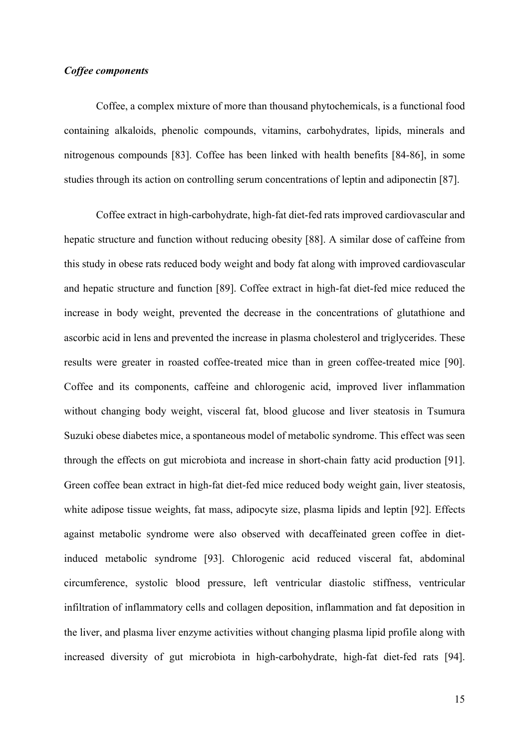## *Coffee components*

Coffee, a complex mixture of more than thousand phytochemicals, is a functional food containing alkaloids, phenolic compounds, vitamins, carbohydrates, lipids, minerals and nitrogenous compounds [83]. Coffee has been linked with health benefits [84-86], in some studies through its action on controlling serum concentrations of leptin and adiponectin [87].

Coffee extract in high-carbohydrate, high-fat diet-fed rats improved cardiovascular and hepatic structure and function without reducing obesity [88]. A similar dose of caffeine from this study in obese rats reduced body weight and body fat along with improved cardiovascular and hepatic structure and function [89]. Coffee extract in high-fat diet-fed mice reduced the increase in body weight, prevented the decrease in the concentrations of glutathione and ascorbic acid in lens and prevented the increase in plasma cholesterol and triglycerides. These results were greater in roasted coffee-treated mice than in green coffee-treated mice [90]. Coffee and its components, caffeine and chlorogenic acid, improved liver inflammation without changing body weight, visceral fat, blood glucose and liver steatosis in Tsumura Suzuki obese diabetes mice, a spontaneous model of metabolic syndrome. This effect was seen through the effects on gut microbiota and increase in short-chain fatty acid production [91]. Green coffee bean extract in high-fat diet-fed mice reduced body weight gain, liver steatosis, white adipose tissue weights, fat mass, adipocyte size, plasma lipids and leptin [92]. Effects against metabolic syndrome were also observed with decaffeinated green coffee in dietinduced metabolic syndrome [93]. Chlorogenic acid reduced visceral fat, abdominal circumference, systolic blood pressure, left ventricular diastolic stiffness, ventricular infiltration of inflammatory cells and collagen deposition, inflammation and fat deposition in the liver, and plasma liver enzyme activities without changing plasma lipid profile along with increased diversity of gut microbiota in high-carbohydrate, high-fat diet-fed rats [94].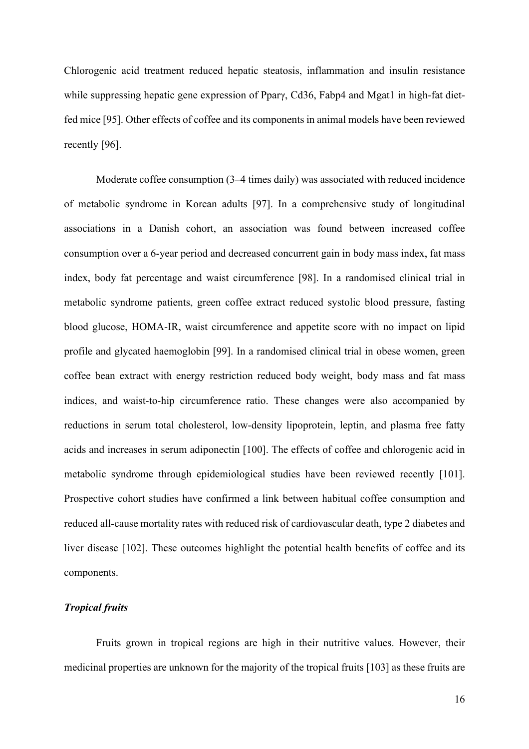Chlorogenic acid treatment reduced hepatic steatosis, inflammation and insulin resistance while suppressing hepatic gene expression of Pparγ, Cd36, Fabp4 and Mgat1 in high-fat dietfed mice [95]. Other effects of coffee and its components in animal models have been reviewed recently [96].

Moderate coffee consumption (3–4 times daily) was associated with reduced incidence of metabolic syndrome in Korean adults [97]. In a comprehensive study of longitudinal associations in a Danish cohort, an association was found between increased coffee consumption over a 6-year period and decreased concurrent gain in body mass index, fat mass index, body fat percentage and waist circumference [98]. In a randomised clinical trial in metabolic syndrome patients, green coffee extract reduced systolic blood pressure, fasting blood glucose, HOMA-IR, waist circumference and appetite score with no impact on lipid profile and glycated haemoglobin [99]. In a randomised clinical trial in obese women, green coffee bean extract with energy restriction reduced body weight, body mass and fat mass indices, and waist-to-hip circumference ratio. These changes were also accompanied by reductions in serum total cholesterol, low-density lipoprotein, leptin, and plasma free fatty acids and increases in serum adiponectin [100]. The effects of coffee and chlorogenic acid in metabolic syndrome through epidemiological studies have been reviewed recently [101]. Prospective cohort studies have confirmed a link between habitual coffee consumption and reduced all-cause mortality rates with reduced risk of cardiovascular death, type 2 diabetes and liver disease [102]. These outcomes highlight the potential health benefits of coffee and its components.

# *Tropical fruits*

Fruits grown in tropical regions are high in their nutritive values. However, their medicinal properties are unknown for the majority of the tropical fruits [103] as these fruits are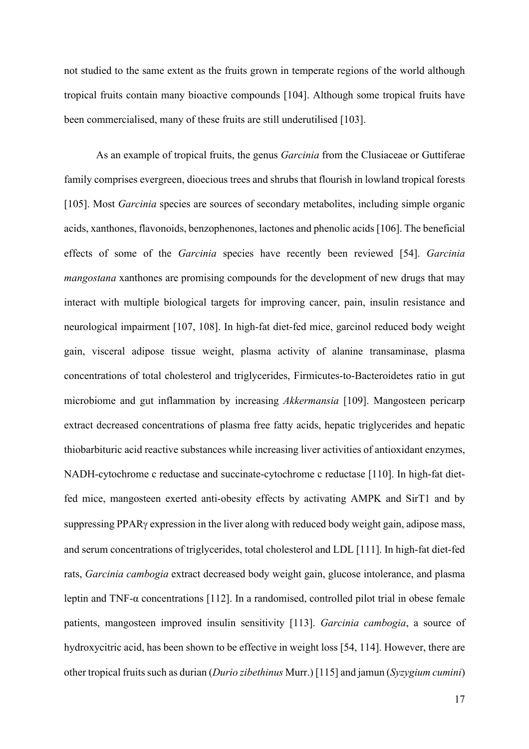not studied to the same extent as the fruits grown in temperate regions of the world although tropical fruits contain many bioactive compounds [104]. Although some tropical fruits have been commercialised, many of these fruits are still underutilised [103].

As an example of tropical fruits, the genus *Garcinia* from the Clusiaceae or Guttiferae family comprises evergreen, dioecious trees and shrubs that flourish in lowland tropical forests [105]. Most *Garcinia* species are sources of secondary metabolites, including simple organic acids, xanthones, flavonoids, benzophenones, lactones and phenolic acids [106]. The beneficial effects of some of the *Garcinia* species have recently been reviewed [54]. *Garcinia mangostana* xanthones are promising compounds for the development of new drugs that may interact with multiple biological targets for improving cancer, pain, insulin resistance and neurological impairment [107, 108]. In high-fat diet-fed mice, garcinol reduced body weight gain, visceral adipose tissue weight, plasma activity of alanine transaminase, plasma concentrations of total cholesterol and triglycerides, Firmicutes-to-Bacteroidetes ratio in gut microbiome and gut inflammation by increasing *Akkermansia* [109]. Mangosteen pericarp extract decreased concentrations of plasma free fatty acids, hepatic triglycerides and hepatic thiobarbituric acid reactive substances while increasing liver activities of antioxidant enzymes, NADH-cytochrome c reductase and succinate-cytochrome c reductase [110]. In high-fat dietfed mice, mangosteen exerted anti-obesity effects by activating AMPK and SirT1 and by suppressing PPARg expression in the liver along with reduced body weight gain, adipose mass, and serum concentrations of triglycerides, total cholesterol and LDL [111]. In high-fat diet-fed rats, *Garcinia cambogia* extract decreased body weight gain, glucose intolerance, and plasma leptin and TNF-α concentrations [112]. In a randomised, controlled pilot trial in obese female patients, mangosteen improved insulin sensitivity [113]. *Garcinia cambogia*, a source of hydroxycitric acid, has been shown to be effective in weight loss [54, 114]. However, there are other tropical fruits such as durian (*Durio zibethinus* Murr.) [115] and jamun (*Syzygium cumini*)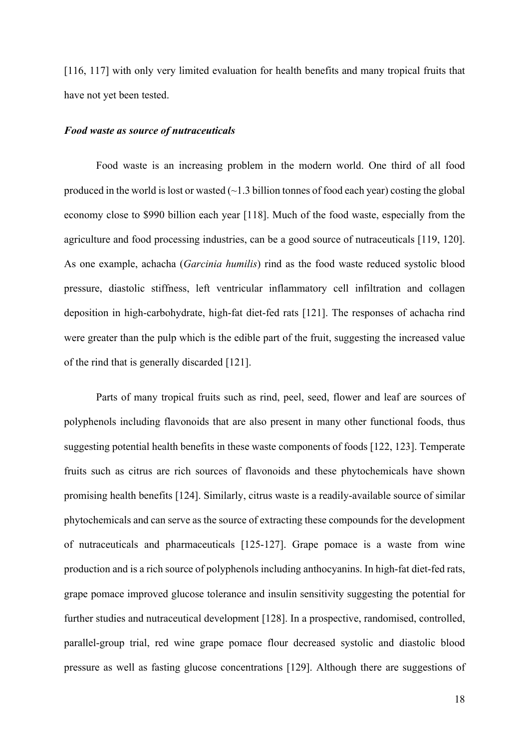[116, 117] with only very limited evaluation for health benefits and many tropical fruits that have not yet been tested.

#### *Food waste as source of nutraceuticals*

Food waste is an increasing problem in the modern world. One third of all food produced in the world is lost or wasted  $\left(\sim\right]$  billion tonnes of food each year) costing the global economy close to \$990 billion each year [118]. Much of the food waste, especially from the agriculture and food processing industries, can be a good source of nutraceuticals [119, 120]. As one example, achacha (*Garcinia humilis*) rind as the food waste reduced systolic blood pressure, diastolic stiffness, left ventricular inflammatory cell infiltration and collagen deposition in high-carbohydrate, high-fat diet-fed rats [121]. The responses of achacha rind were greater than the pulp which is the edible part of the fruit, suggesting the increased value of the rind that is generally discarded [121].

Parts of many tropical fruits such as rind, peel, seed, flower and leaf are sources of polyphenols including flavonoids that are also present in many other functional foods, thus suggesting potential health benefits in these waste components of foods [122, 123]. Temperate fruits such as citrus are rich sources of flavonoids and these phytochemicals have shown promising health benefits [124]. Similarly, citrus waste is a readily-available source of similar phytochemicals and can serve as the source of extracting these compounds for the development of nutraceuticals and pharmaceuticals [125-127]. Grape pomace is a waste from wine production and is a rich source of polyphenols including anthocyanins. In high-fat diet-fed rats, grape pomace improved glucose tolerance and insulin sensitivity suggesting the potential for further studies and nutraceutical development [128]. In a prospective, randomised, controlled, parallel-group trial, red wine grape pomace flour decreased systolic and diastolic blood pressure as well as fasting glucose concentrations [129]. Although there are suggestions of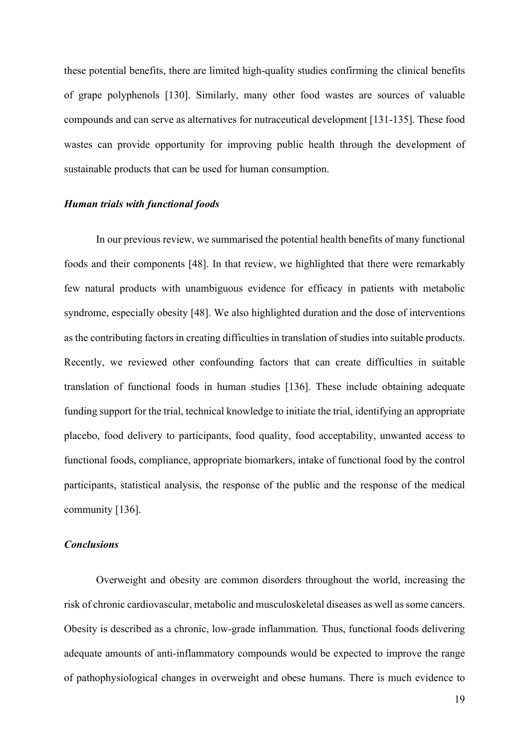these potential benefits, there are limited high-quality studies confirming the clinical benefits of grape polyphenols [130]. Similarly, many other food wastes are sources of valuable compounds and can serve as alternatives for nutraceutical development [131-135]. These food wastes can provide opportunity for improving public health through the development of sustainable products that can be used for human consumption.

### *Human trials with functional foods*

In our previous review, we summarised the potential health benefits of many functional foods and their components [48]. In that review, we highlighted that there were remarkably few natural products with unambiguous evidence for efficacy in patients with metabolic syndrome, especially obesity [48]. We also highlighted duration and the dose of interventions as the contributing factors in creating difficulties in translation of studies into suitable products. Recently, we reviewed other confounding factors that can create difficulties in suitable translation of functional foods in human studies [136]. These include obtaining adequate funding support for the trial, technical knowledge to initiate the trial, identifying an appropriate placebo, food delivery to participants, food quality, food acceptability, unwanted access to functional foods, compliance, appropriate biomarkers, intake of functional food by the control participants, statistical analysis, the response of the public and the response of the medical community [136].

## *Conclusions*

Overweight and obesity are common disorders throughout the world, increasing the risk of chronic cardiovascular, metabolic and musculoskeletal diseases as well as some cancers. Obesity is described as a chronic, low-grade inflammation. Thus, functional foods delivering adequate amounts of anti-inflammatory compounds would be expected to improve the range of pathophysiological changes in overweight and obese humans. There is much evidence to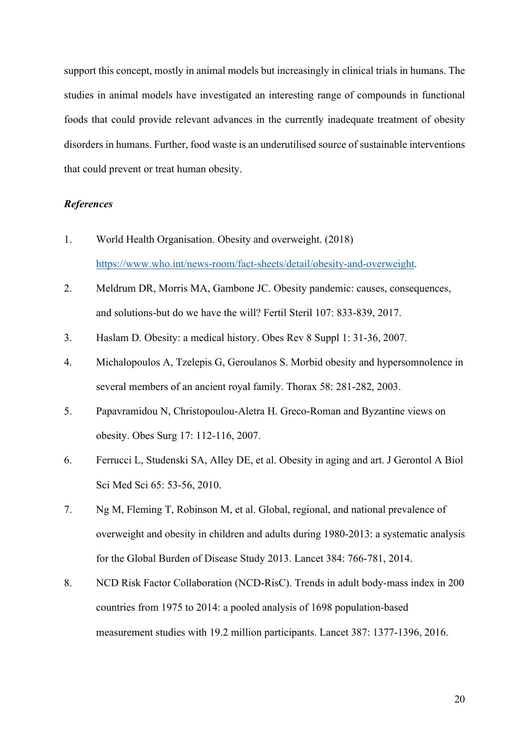support this concept, mostly in animal models but increasingly in clinical trials in humans. The studies in animal models have investigated an interesting range of compounds in functional foods that could provide relevant advances in the currently inadequate treatment of obesity disorders in humans. Further, food waste is an underutilised source of sustainable interventions that could prevent or treat human obesity.

# *References*

- 1. World Health Organisation. Obesity and overweight. (2018) https://www.who.int/news-room/fact-sheets/detail/obesity-and-overweight.
- 2. Meldrum DR, Morris MA, Gambone JC. Obesity pandemic: causes, consequences, and solutions-but do we have the will? Fertil Steril 107: 833-839, 2017.
- 3. Haslam D. Obesity: a medical history. Obes Rev 8 Suppl 1: 31-36, 2007.
- 4. Michalopoulos A, Tzelepis G, Geroulanos S. Morbid obesity and hypersomnolence in several members of an ancient royal family. Thorax 58: 281-282, 2003.
- 5. Papavramidou N, Christopoulou-Aletra H. Greco-Roman and Byzantine views on obesity. Obes Surg 17: 112-116, 2007.
- 6. Ferrucci L, Studenski SA, Alley DE, et al. Obesity in aging and art. J Gerontol A Biol Sci Med Sci 65: 53-56, 2010.
- 7. Ng M, Fleming T, Robinson M, et al. Global, regional, and national prevalence of overweight and obesity in children and adults during 1980-2013: a systematic analysis for the Global Burden of Disease Study 2013. Lancet 384: 766-781, 2014.
- 8. NCD Risk Factor Collaboration (NCD-RisC). Trends in adult body-mass index in 200 countries from 1975 to 2014: a pooled analysis of 1698 population-based measurement studies with 19.2 million participants. Lancet 387: 1377-1396, 2016.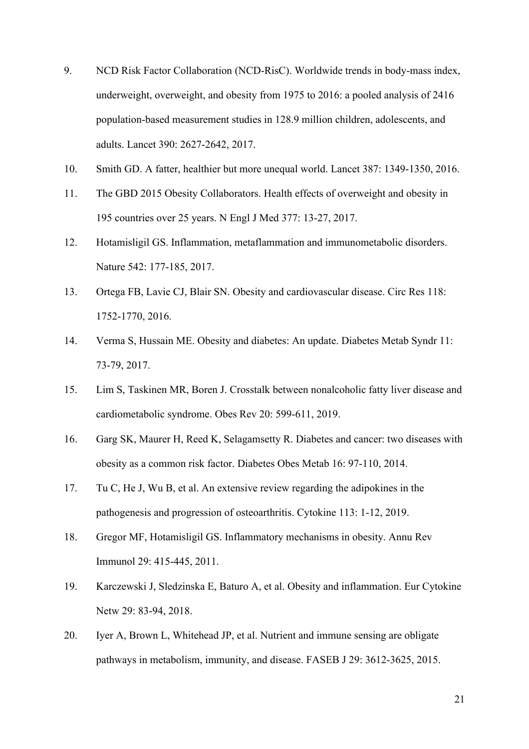- 9. NCD Risk Factor Collaboration (NCD-RisC). Worldwide trends in body-mass index, underweight, overweight, and obesity from 1975 to 2016: a pooled analysis of 2416 population-based measurement studies in 128.9 million children, adolescents, and adults. Lancet 390: 2627-2642, 2017.
- 10. Smith GD. A fatter, healthier but more unequal world. Lancet 387: 1349-1350, 2016.
- 11. The GBD 2015 Obesity Collaborators. Health effects of overweight and obesity in 195 countries over 25 years. N Engl J Med 377: 13-27, 2017.
- 12. Hotamisligil GS. Inflammation, metaflammation and immunometabolic disorders. Nature 542: 177-185, 2017.
- 13. Ortega FB, Lavie CJ, Blair SN. Obesity and cardiovascular disease. Circ Res 118: 1752-1770, 2016.
- 14. Verma S, Hussain ME. Obesity and diabetes: An update. Diabetes Metab Syndr 11: 73-79, 2017.
- 15. Lim S, Taskinen MR, Boren J. Crosstalk between nonalcoholic fatty liver disease and cardiometabolic syndrome. Obes Rev 20: 599-611, 2019.
- 16. Garg SK, Maurer H, Reed K, Selagamsetty R. Diabetes and cancer: two diseases with obesity as a common risk factor. Diabetes Obes Metab 16: 97-110, 2014.
- 17. Tu C, He J, Wu B, et al. An extensive review regarding the adipokines in the pathogenesis and progression of osteoarthritis. Cytokine 113: 1-12, 2019.
- 18. Gregor MF, Hotamisligil GS. Inflammatory mechanisms in obesity. Annu Rev Immunol 29: 415-445, 2011.
- 19. Karczewski J, Sledzinska E, Baturo A, et al. Obesity and inflammation. Eur Cytokine Netw 29: 83-94, 2018.
- 20. Iyer A, Brown L, Whitehead JP, et al. Nutrient and immune sensing are obligate pathways in metabolism, immunity, and disease. FASEB J 29: 3612-3625, 2015.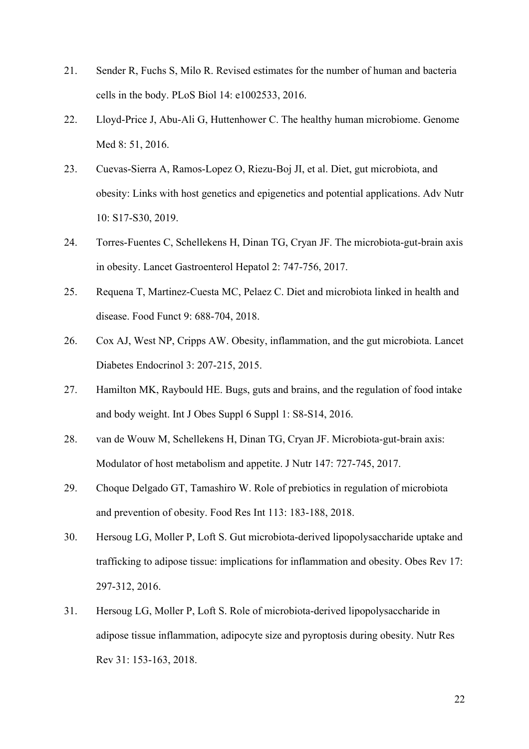- 21. Sender R, Fuchs S, Milo R. Revised estimates for the number of human and bacteria cells in the body. PLoS Biol 14: e1002533, 2016.
- 22. Lloyd-Price J, Abu-Ali G, Huttenhower C. The healthy human microbiome. Genome Med 8: 51, 2016.
- 23. Cuevas-Sierra A, Ramos-Lopez O, Riezu-Boj JI, et al. Diet, gut microbiota, and obesity: Links with host genetics and epigenetics and potential applications. Adv Nutr 10: S17-S30, 2019.
- 24. Torres-Fuentes C, Schellekens H, Dinan TG, Cryan JF. The microbiota-gut-brain axis in obesity. Lancet Gastroenterol Hepatol 2: 747-756, 2017.
- 25. Requena T, Martinez-Cuesta MC, Pelaez C. Diet and microbiota linked in health and disease. Food Funct 9: 688-704, 2018.
- 26. Cox AJ, West NP, Cripps AW. Obesity, inflammation, and the gut microbiota. Lancet Diabetes Endocrinol 3: 207-215, 2015.
- 27. Hamilton MK, Raybould HE. Bugs, guts and brains, and the regulation of food intake and body weight. Int J Obes Suppl 6 Suppl 1: S8-S14, 2016.
- 28. van de Wouw M, Schellekens H, Dinan TG, Cryan JF. Microbiota-gut-brain axis: Modulator of host metabolism and appetite. J Nutr 147: 727-745, 2017.
- 29. Choque Delgado GT, Tamashiro W. Role of prebiotics in regulation of microbiota and prevention of obesity. Food Res Int 113: 183-188, 2018.
- 30. Hersoug LG, Moller P, Loft S. Gut microbiota-derived lipopolysaccharide uptake and trafficking to adipose tissue: implications for inflammation and obesity. Obes Rev 17: 297-312, 2016.
- 31. Hersoug LG, Moller P, Loft S. Role of microbiota-derived lipopolysaccharide in adipose tissue inflammation, adipocyte size and pyroptosis during obesity. Nutr Res Rev 31: 153-163, 2018.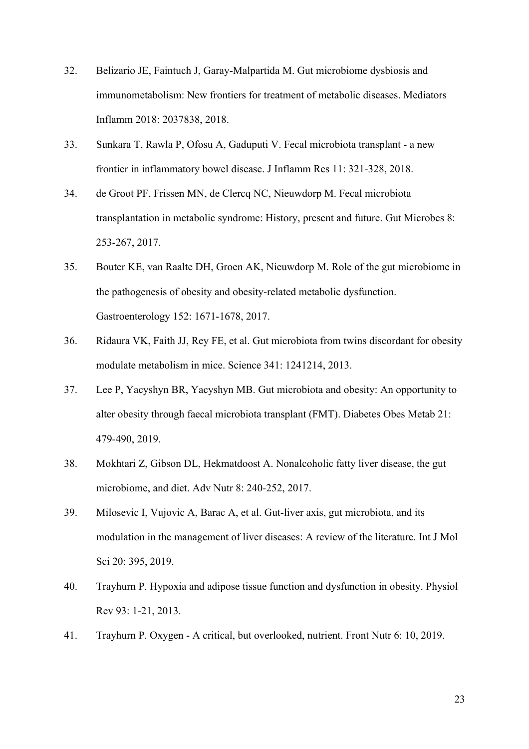- 32. Belizario JE, Faintuch J, Garay-Malpartida M. Gut microbiome dysbiosis and immunometabolism: New frontiers for treatment of metabolic diseases. Mediators Inflamm 2018: 2037838, 2018.
- 33. Sunkara T, Rawla P, Ofosu A, Gaduputi V. Fecal microbiota transplant a new frontier in inflammatory bowel disease. J Inflamm Res 11: 321-328, 2018.
- 34. de Groot PF, Frissen MN, de Clercq NC, Nieuwdorp M. Fecal microbiota transplantation in metabolic syndrome: History, present and future. Gut Microbes 8: 253-267, 2017.
- 35. Bouter KE, van Raalte DH, Groen AK, Nieuwdorp M. Role of the gut microbiome in the pathogenesis of obesity and obesity-related metabolic dysfunction. Gastroenterology 152: 1671-1678, 2017.
- 36. Ridaura VK, Faith JJ, Rey FE, et al. Gut microbiota from twins discordant for obesity modulate metabolism in mice. Science 341: 1241214, 2013.
- 37. Lee P, Yacyshyn BR, Yacyshyn MB. Gut microbiota and obesity: An opportunity to alter obesity through faecal microbiota transplant (FMT). Diabetes Obes Metab 21: 479-490, 2019.
- 38. Mokhtari Z, Gibson DL, Hekmatdoost A. Nonalcoholic fatty liver disease, the gut microbiome, and diet. Adv Nutr 8: 240-252, 2017.
- 39. Milosevic I, Vujovic A, Barac A, et al. Gut-liver axis, gut microbiota, and its modulation in the management of liver diseases: A review of the literature. Int J Mol Sci 20: 395, 2019.
- 40. Trayhurn P. Hypoxia and adipose tissue function and dysfunction in obesity. Physiol Rev 93: 1-21, 2013.
- 41. Trayhurn P. Oxygen A critical, but overlooked, nutrient. Front Nutr 6: 10, 2019.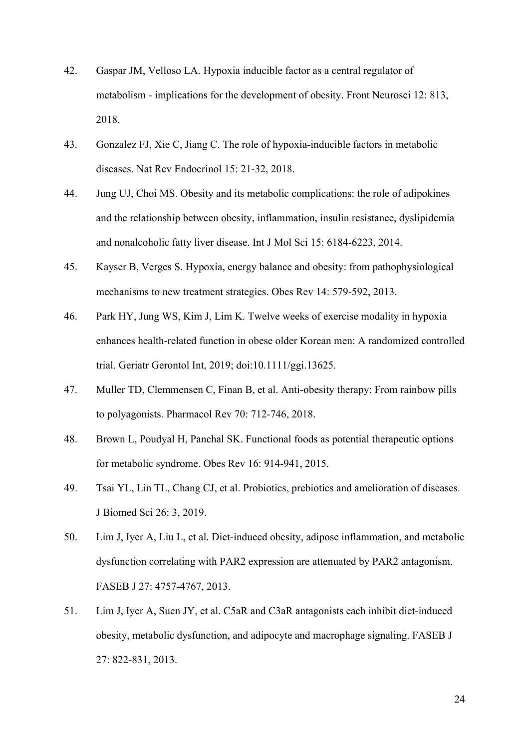- 42. Gaspar JM, Velloso LA. Hypoxia inducible factor as a central regulator of metabolism - implications for the development of obesity. Front Neurosci 12: 813, 2018.
- 43. Gonzalez FJ, Xie C, Jiang C. The role of hypoxia-inducible factors in metabolic diseases. Nat Rev Endocrinol 15: 21-32, 2018.
- 44. Jung UJ, Choi MS. Obesity and its metabolic complications: the role of adipokines and the relationship between obesity, inflammation, insulin resistance, dyslipidemia and nonalcoholic fatty liver disease. Int J Mol Sci 15: 6184-6223, 2014.
- 45. Kayser B, Verges S. Hypoxia, energy balance and obesity: from pathophysiological mechanisms to new treatment strategies. Obes Rev 14: 579-592, 2013.
- 46. Park HY, Jung WS, Kim J, Lim K. Twelve weeks of exercise modality in hypoxia enhances health-related function in obese older Korean men: A randomized controlled trial. Geriatr Gerontol Int, 2019; doi:10.1111/ggi.13625.
- 47. Muller TD, Clemmensen C, Finan B, et al. Anti-obesity therapy: From rainbow pills to polyagonists. Pharmacol Rev 70: 712-746, 2018.
- 48. Brown L, Poudyal H, Panchal SK. Functional foods as potential therapeutic options for metabolic syndrome. Obes Rev 16: 914-941, 2015.
- 49. Tsai YL, Lin TL, Chang CJ, et al. Probiotics, prebiotics and amelioration of diseases. J Biomed Sci 26: 3, 2019.
- 50. Lim J, Iyer A, Liu L, et al. Diet-induced obesity, adipose inflammation, and metabolic dysfunction correlating with PAR2 expression are attenuated by PAR2 antagonism. FASEB J 27: 4757-4767, 2013.
- 51. Lim J, Iyer A, Suen JY, et al. C5aR and C3aR antagonists each inhibit diet-induced obesity, metabolic dysfunction, and adipocyte and macrophage signaling. FASEB J 27: 822-831, 2013.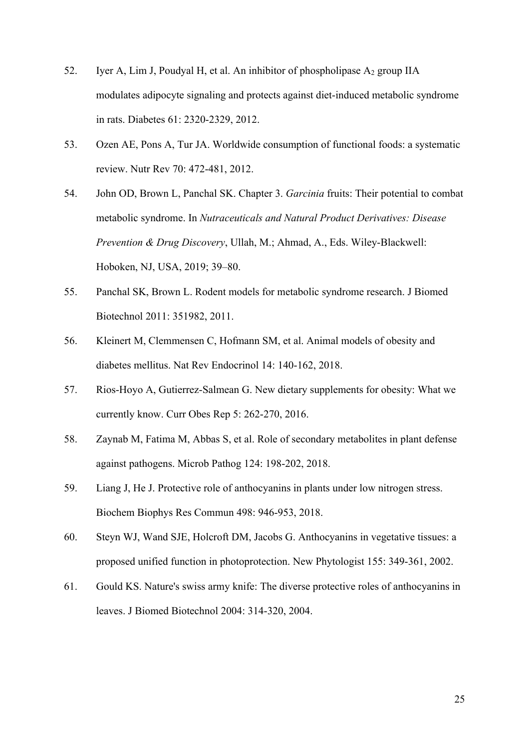- 52. Iyer A, Lim J, Poudyal H, et al. An inhibitor of phospholipase  $A_2$  group IIA modulates adipocyte signaling and protects against diet-induced metabolic syndrome in rats. Diabetes 61: 2320-2329, 2012.
- 53. Ozen AE, Pons A, Tur JA. Worldwide consumption of functional foods: a systematic review. Nutr Rev 70: 472-481, 2012.
- 54. John OD, Brown L, Panchal SK. Chapter 3. *Garcinia* fruits: Their potential to combat metabolic syndrome. In *Nutraceuticals and Natural Product Derivatives: Disease Prevention & Drug Discovery*, Ullah, M.; Ahmad, A., Eds. Wiley-Blackwell: Hoboken, NJ, USA, 2019; 39–80.
- 55. Panchal SK, Brown L. Rodent models for metabolic syndrome research. J Biomed Biotechnol 2011: 351982, 2011.
- 56. Kleinert M, Clemmensen C, Hofmann SM, et al. Animal models of obesity and diabetes mellitus. Nat Rev Endocrinol 14: 140-162, 2018.
- 57. Rios-Hoyo A, Gutierrez-Salmean G. New dietary supplements for obesity: What we currently know. Curr Obes Rep 5: 262-270, 2016.
- 58. Zaynab M, Fatima M, Abbas S, et al. Role of secondary metabolites in plant defense against pathogens. Microb Pathog 124: 198-202, 2018.
- 59. Liang J, He J. Protective role of anthocyanins in plants under low nitrogen stress. Biochem Biophys Res Commun 498: 946-953, 2018.
- 60. Steyn WJ, Wand SJE, Holcroft DM, Jacobs G. Anthocyanins in vegetative tissues: a proposed unified function in photoprotection. New Phytologist 155: 349-361, 2002.
- 61. Gould KS. Nature's swiss army knife: The diverse protective roles of anthocyanins in leaves. J Biomed Biotechnol 2004: 314-320, 2004.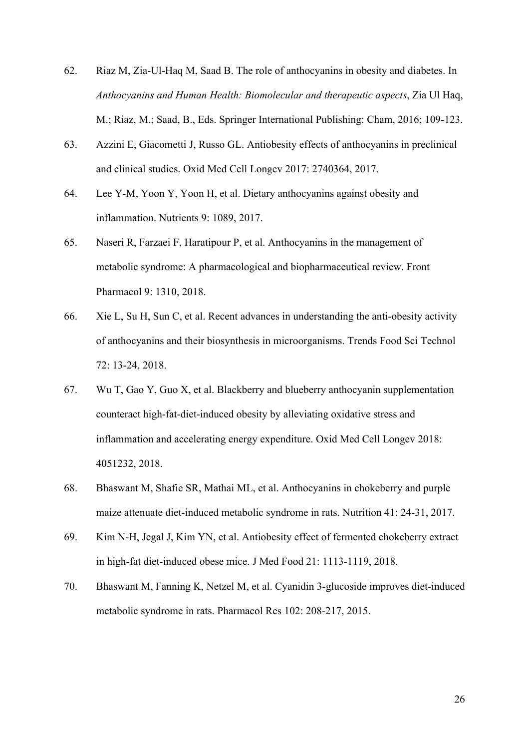- 62. Riaz M, Zia-Ul-Haq M, Saad B. The role of anthocyanins in obesity and diabetes. In *Anthocyanins and Human Health: Biomolecular and therapeutic aspects*, Zia Ul Haq, M.; Riaz, M.; Saad, B., Eds. Springer International Publishing: Cham, 2016; 109-123.
- 63. Azzini E, Giacometti J, Russo GL. Antiobesity effects of anthocyanins in preclinical and clinical studies. Oxid Med Cell Longev 2017: 2740364, 2017.
- 64. Lee Y-M, Yoon Y, Yoon H, et al. Dietary anthocyanins against obesity and inflammation. Nutrients 9: 1089, 2017.
- 65. Naseri R, Farzaei F, Haratipour P, et al. Anthocyanins in the management of metabolic syndrome: A pharmacological and biopharmaceutical review. Front Pharmacol 9: 1310, 2018.
- 66. Xie L, Su H, Sun C, et al. Recent advances in understanding the anti-obesity activity of anthocyanins and their biosynthesis in microorganisms. Trends Food Sci Technol 72: 13-24, 2018.
- 67. Wu T, Gao Y, Guo X, et al. Blackberry and blueberry anthocyanin supplementation counteract high-fat-diet-induced obesity by alleviating oxidative stress and inflammation and accelerating energy expenditure. Oxid Med Cell Longev 2018: 4051232, 2018.
- 68. Bhaswant M, Shafie SR, Mathai ML, et al. Anthocyanins in chokeberry and purple maize attenuate diet-induced metabolic syndrome in rats. Nutrition 41: 24-31, 2017.
- 69. Kim N-H, Jegal J, Kim YN, et al. Antiobesity effect of fermented chokeberry extract in high-fat diet-induced obese mice. J Med Food 21: 1113-1119, 2018.
- 70. Bhaswant M, Fanning K, Netzel M, et al. Cyanidin 3-glucoside improves diet-induced metabolic syndrome in rats. Pharmacol Res 102: 208-217, 2015.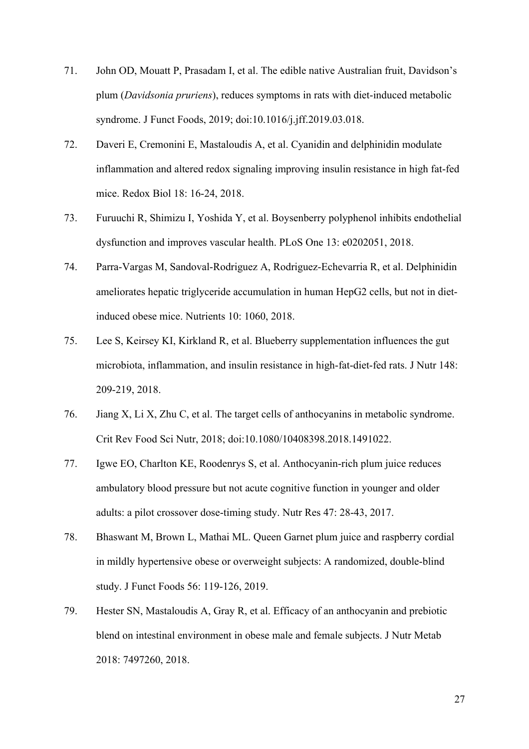- 71. John OD, Mouatt P, Prasadam I, et al. The edible native Australian fruit, Davidson's plum (*Davidsonia pruriens*), reduces symptoms in rats with diet-induced metabolic syndrome. J Funct Foods, 2019; doi:10.1016/j.jff.2019.03.018.
- 72. Daveri E, Cremonini E, Mastaloudis A, et al. Cyanidin and delphinidin modulate inflammation and altered redox signaling improving insulin resistance in high fat-fed mice. Redox Biol 18: 16-24, 2018.
- 73. Furuuchi R, Shimizu I, Yoshida Y, et al. Boysenberry polyphenol inhibits endothelial dysfunction and improves vascular health. PLoS One 13: e0202051, 2018.
- 74. Parra-Vargas M, Sandoval-Rodriguez A, Rodriguez-Echevarria R, et al. Delphinidin ameliorates hepatic triglyceride accumulation in human HepG2 cells, but not in dietinduced obese mice. Nutrients 10: 1060, 2018.
- 75. Lee S, Keirsey KI, Kirkland R, et al. Blueberry supplementation influences the gut microbiota, inflammation, and insulin resistance in high-fat-diet-fed rats. J Nutr 148: 209-219, 2018.
- 76. Jiang X, Li X, Zhu C, et al. The target cells of anthocyanins in metabolic syndrome. Crit Rev Food Sci Nutr, 2018; doi:10.1080/10408398.2018.1491022.
- 77. Igwe EO, Charlton KE, Roodenrys S, et al. Anthocyanin-rich plum juice reduces ambulatory blood pressure but not acute cognitive function in younger and older adults: a pilot crossover dose-timing study. Nutr Res 47: 28-43, 2017.
- 78. Bhaswant M, Brown L, Mathai ML. Queen Garnet plum juice and raspberry cordial in mildly hypertensive obese or overweight subjects: A randomized, double-blind study. J Funct Foods 56: 119-126, 2019.
- 79. Hester SN, Mastaloudis A, Gray R, et al. Efficacy of an anthocyanin and prebiotic blend on intestinal environment in obese male and female subjects. J Nutr Metab 2018: 7497260, 2018.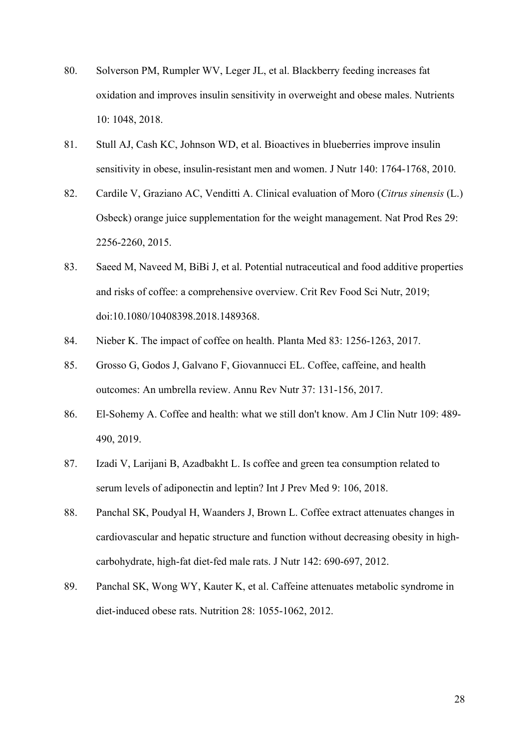- 80. Solverson PM, Rumpler WV, Leger JL, et al. Blackberry feeding increases fat oxidation and improves insulin sensitivity in overweight and obese males. Nutrients 10: 1048, 2018.
- 81. Stull AJ, Cash KC, Johnson WD, et al. Bioactives in blueberries improve insulin sensitivity in obese, insulin-resistant men and women. J Nutr 140: 1764-1768, 2010.
- 82. Cardile V, Graziano AC, Venditti A. Clinical evaluation of Moro (*Citrus sinensis* (L.) Osbeck) orange juice supplementation for the weight management. Nat Prod Res 29: 2256-2260, 2015.
- 83. Saeed M, Naveed M, BiBi J, et al. Potential nutraceutical and food additive properties and risks of coffee: a comprehensive overview. Crit Rev Food Sci Nutr, 2019; doi:10.1080/10408398.2018.1489368.
- 84. Nieber K. The impact of coffee on health. Planta Med 83: 1256-1263, 2017.
- 85. Grosso G, Godos J, Galvano F, Giovannucci EL. Coffee, caffeine, and health outcomes: An umbrella review. Annu Rev Nutr 37: 131-156, 2017.
- 86. El-Sohemy A. Coffee and health: what we still don't know. Am J Clin Nutr 109: 489- 490, 2019.
- 87. Izadi V, Larijani B, Azadbakht L. Is coffee and green tea consumption related to serum levels of adiponectin and leptin? Int J Prev Med 9: 106, 2018.
- 88. Panchal SK, Poudyal H, Waanders J, Brown L. Coffee extract attenuates changes in cardiovascular and hepatic structure and function without decreasing obesity in highcarbohydrate, high-fat diet-fed male rats. J Nutr 142: 690-697, 2012.
- 89. Panchal SK, Wong WY, Kauter K, et al. Caffeine attenuates metabolic syndrome in diet-induced obese rats. Nutrition 28: 1055-1062, 2012.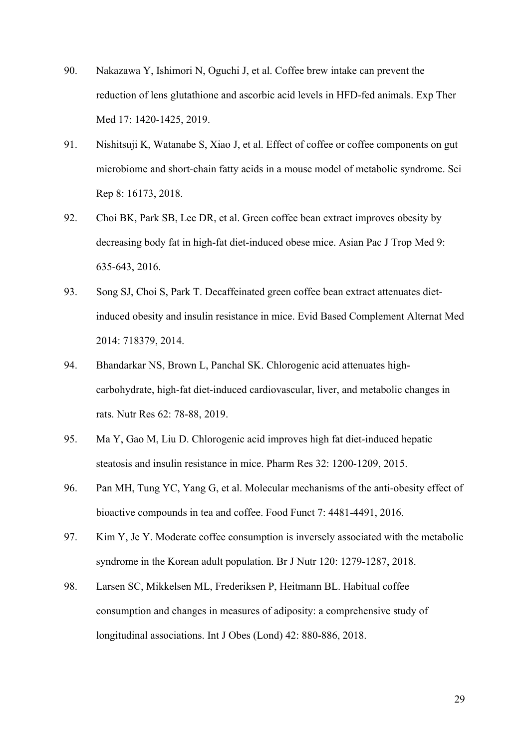- 90. Nakazawa Y, Ishimori N, Oguchi J, et al. Coffee brew intake can prevent the reduction of lens glutathione and ascorbic acid levels in HFD-fed animals. Exp Ther Med 17: 1420-1425, 2019.
- 91. Nishitsuji K, Watanabe S, Xiao J, et al. Effect of coffee or coffee components on gut microbiome and short-chain fatty acids in a mouse model of metabolic syndrome. Sci Rep 8: 16173, 2018.
- 92. Choi BK, Park SB, Lee DR, et al. Green coffee bean extract improves obesity by decreasing body fat in high-fat diet-induced obese mice. Asian Pac J Trop Med 9: 635-643, 2016.
- 93. Song SJ, Choi S, Park T. Decaffeinated green coffee bean extract attenuates dietinduced obesity and insulin resistance in mice. Evid Based Complement Alternat Med 2014: 718379, 2014.
- 94. Bhandarkar NS, Brown L, Panchal SK. Chlorogenic acid attenuates highcarbohydrate, high-fat diet-induced cardiovascular, liver, and metabolic changes in rats. Nutr Res 62: 78-88, 2019.
- 95. Ma Y, Gao M, Liu D. Chlorogenic acid improves high fat diet-induced hepatic steatosis and insulin resistance in mice. Pharm Res 32: 1200-1209, 2015.
- 96. Pan MH, Tung YC, Yang G, et al. Molecular mechanisms of the anti-obesity effect of bioactive compounds in tea and coffee. Food Funct 7: 4481-4491, 2016.
- 97. Kim Y, Je Y. Moderate coffee consumption is inversely associated with the metabolic syndrome in the Korean adult population. Br J Nutr 120: 1279-1287, 2018.
- 98. Larsen SC, Mikkelsen ML, Frederiksen P, Heitmann BL. Habitual coffee consumption and changes in measures of adiposity: a comprehensive study of longitudinal associations. Int J Obes (Lond) 42: 880-886, 2018.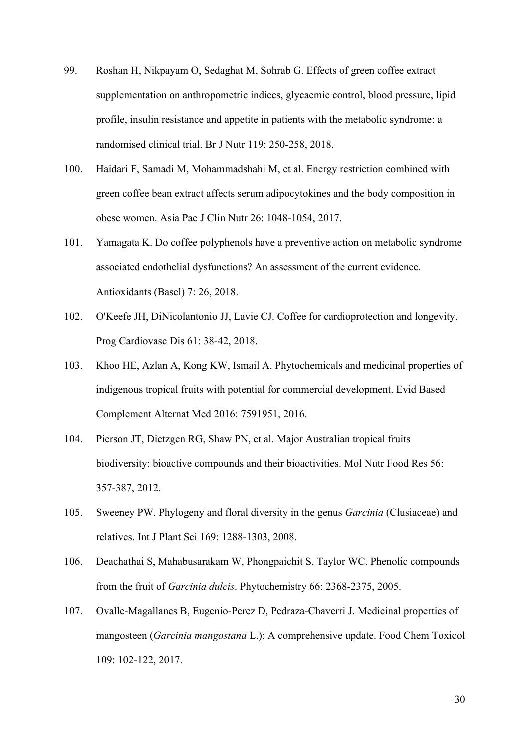- 99. Roshan H, Nikpayam O, Sedaghat M, Sohrab G. Effects of green coffee extract supplementation on anthropometric indices, glycaemic control, blood pressure, lipid profile, insulin resistance and appetite in patients with the metabolic syndrome: a randomised clinical trial. Br J Nutr 119: 250-258, 2018.
- 100. Haidari F, Samadi M, Mohammadshahi M, et al. Energy restriction combined with green coffee bean extract affects serum adipocytokines and the body composition in obese women. Asia Pac J Clin Nutr 26: 1048-1054, 2017.
- 101. Yamagata K. Do coffee polyphenols have a preventive action on metabolic syndrome associated endothelial dysfunctions? An assessment of the current evidence. Antioxidants (Basel) 7: 26, 2018.
- 102. O'Keefe JH, DiNicolantonio JJ, Lavie CJ. Coffee for cardioprotection and longevity. Prog Cardiovasc Dis 61: 38-42, 2018.
- 103. Khoo HE, Azlan A, Kong KW, Ismail A. Phytochemicals and medicinal properties of indigenous tropical fruits with potential for commercial development. Evid Based Complement Alternat Med 2016: 7591951, 2016.
- 104. Pierson JT, Dietzgen RG, Shaw PN, et al. Major Australian tropical fruits biodiversity: bioactive compounds and their bioactivities. Mol Nutr Food Res 56: 357-387, 2012.
- 105. Sweeney PW. Phylogeny and floral diversity in the genus *Garcinia* (Clusiaceae) and relatives. Int J Plant Sci 169: 1288-1303, 2008.
- 106. Deachathai S, Mahabusarakam W, Phongpaichit S, Taylor WC. Phenolic compounds from the fruit of *Garcinia dulcis*. Phytochemistry 66: 2368-2375, 2005.
- 107. Ovalle-Magallanes B, Eugenio-Perez D, Pedraza-Chaverri J. Medicinal properties of mangosteen (*Garcinia mangostana* L.): A comprehensive update. Food Chem Toxicol 109: 102-122, 2017.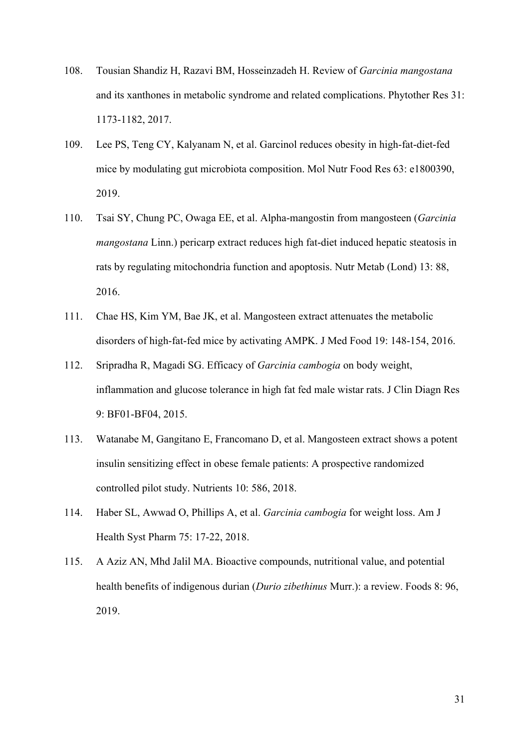- 108. Tousian Shandiz H, Razavi BM, Hosseinzadeh H. Review of *Garcinia mangostana* and its xanthones in metabolic syndrome and related complications. Phytother Res 31: 1173-1182, 2017.
- 109. Lee PS, Teng CY, Kalyanam N, et al. Garcinol reduces obesity in high-fat-diet-fed mice by modulating gut microbiota composition. Mol Nutr Food Res 63: e1800390, 2019.
- 110. Tsai SY, Chung PC, Owaga EE, et al. Alpha-mangostin from mangosteen (*Garcinia mangostana* Linn.) pericarp extract reduces high fat-diet induced hepatic steatosis in rats by regulating mitochondria function and apoptosis. Nutr Metab (Lond) 13: 88, 2016.
- 111. Chae HS, Kim YM, Bae JK, et al. Mangosteen extract attenuates the metabolic disorders of high-fat-fed mice by activating AMPK. J Med Food 19: 148-154, 2016.
- 112. Sripradha R, Magadi SG. Efficacy of *Garcinia cambogia* on body weight, inflammation and glucose tolerance in high fat fed male wistar rats. J Clin Diagn Res 9: BF01-BF04, 2015.
- 113. Watanabe M, Gangitano E, Francomano D, et al. Mangosteen extract shows a potent insulin sensitizing effect in obese female patients: A prospective randomized controlled pilot study. Nutrients 10: 586, 2018.
- 114. Haber SL, Awwad O, Phillips A, et al. *Garcinia cambogia* for weight loss. Am J Health Syst Pharm 75: 17-22, 2018.
- 115. A Aziz AN, Mhd Jalil MA. Bioactive compounds, nutritional value, and potential health benefits of indigenous durian (*Durio zibethinus* Murr.): a review. Foods 8: 96, 2019.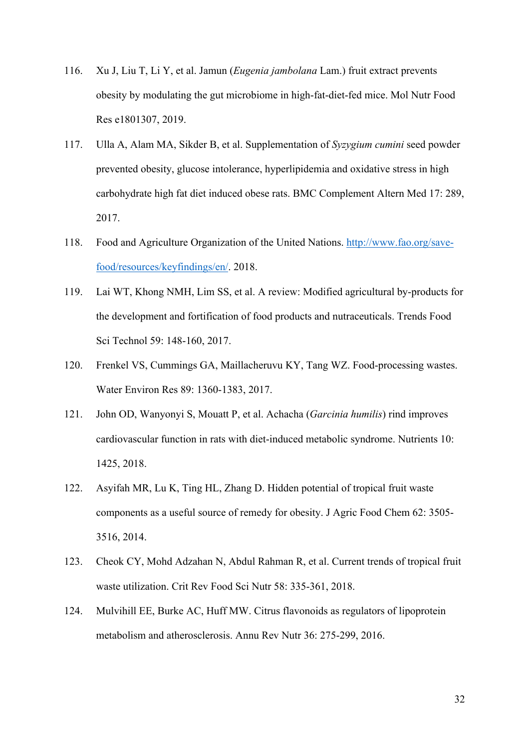- 116. Xu J, Liu T, Li Y, et al. Jamun (*Eugenia jambolana* Lam.) fruit extract prevents obesity by modulating the gut microbiome in high-fat-diet-fed mice. Mol Nutr Food Res e1801307, 2019.
- 117. Ulla A, Alam MA, Sikder B, et al. Supplementation of *Syzygium cumini* seed powder prevented obesity, glucose intolerance, hyperlipidemia and oxidative stress in high carbohydrate high fat diet induced obese rats. BMC Complement Altern Med 17: 289, 2017.
- 118. Food and Agriculture Organization of the United Nations. http://www.fao.org/savefood/resources/keyfindings/en/. 2018.
- 119. Lai WT, Khong NMH, Lim SS, et al. A review: Modified agricultural by-products for the development and fortification of food products and nutraceuticals. Trends Food Sci Technol 59: 148-160, 2017.
- 120. Frenkel VS, Cummings GA, Maillacheruvu KY, Tang WZ. Food-processing wastes. Water Environ Res 89: 1360-1383, 2017.
- 121. John OD, Wanyonyi S, Mouatt P, et al. Achacha (*Garcinia humilis*) rind improves cardiovascular function in rats with diet-induced metabolic syndrome. Nutrients 10: 1425, 2018.
- 122. Asyifah MR, Lu K, Ting HL, Zhang D. Hidden potential of tropical fruit waste components as a useful source of remedy for obesity. J Agric Food Chem 62: 3505- 3516, 2014.
- 123. Cheok CY, Mohd Adzahan N, Abdul Rahman R, et al. Current trends of tropical fruit waste utilization. Crit Rev Food Sci Nutr 58: 335-361, 2018.
- 124. Mulvihill EE, Burke AC, Huff MW. Citrus flavonoids as regulators of lipoprotein metabolism and atherosclerosis. Annu Rev Nutr 36: 275-299, 2016.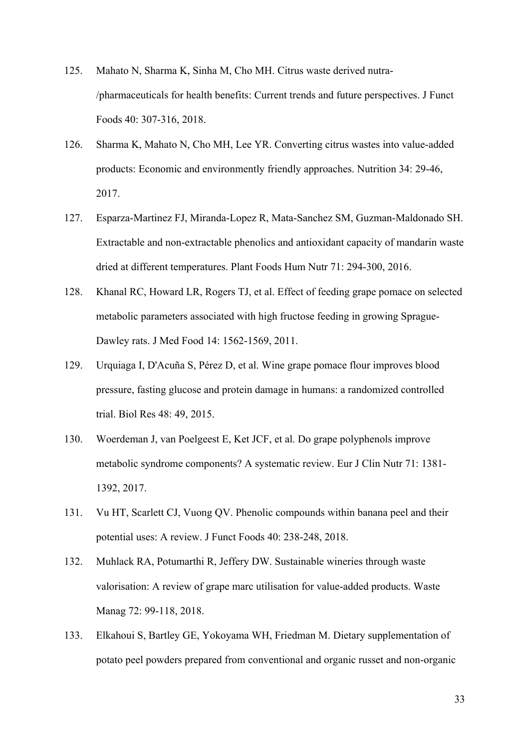- 125. Mahato N, Sharma K, Sinha M, Cho MH. Citrus waste derived nutra- /pharmaceuticals for health benefits: Current trends and future perspectives. J Funct Foods 40: 307-316, 2018.
- 126. Sharma K, Mahato N, Cho MH, Lee YR. Converting citrus wastes into value-added products: Economic and environmently friendly approaches. Nutrition 34: 29-46, 2017.
- 127. Esparza-Martinez FJ, Miranda-Lopez R, Mata-Sanchez SM, Guzman-Maldonado SH. Extractable and non-extractable phenolics and antioxidant capacity of mandarin waste dried at different temperatures. Plant Foods Hum Nutr 71: 294-300, 2016.
- 128. Khanal RC, Howard LR, Rogers TJ, et al. Effect of feeding grape pomace on selected metabolic parameters associated with high fructose feeding in growing Sprague-Dawley rats. J Med Food 14: 1562-1569, 2011.
- 129. Urquiaga I, D'Acuña S, Pérez D, et al. Wine grape pomace flour improves blood pressure, fasting glucose and protein damage in humans: a randomized controlled trial. Biol Res 48: 49, 2015.
- 130. Woerdeman J, van Poelgeest E, Ket JCF, et al. Do grape polyphenols improve metabolic syndrome components? A systematic review. Eur J Clin Nutr 71: 1381- 1392, 2017.
- 131. Vu HT, Scarlett CJ, Vuong QV. Phenolic compounds within banana peel and their potential uses: A review. J Funct Foods 40: 238-248, 2018.
- 132. Muhlack RA, Potumarthi R, Jeffery DW. Sustainable wineries through waste valorisation: A review of grape marc utilisation for value-added products. Waste Manag 72: 99-118, 2018.
- 133. Elkahoui S, Bartley GE, Yokoyama WH, Friedman M. Dietary supplementation of potato peel powders prepared from conventional and organic russet and non-organic